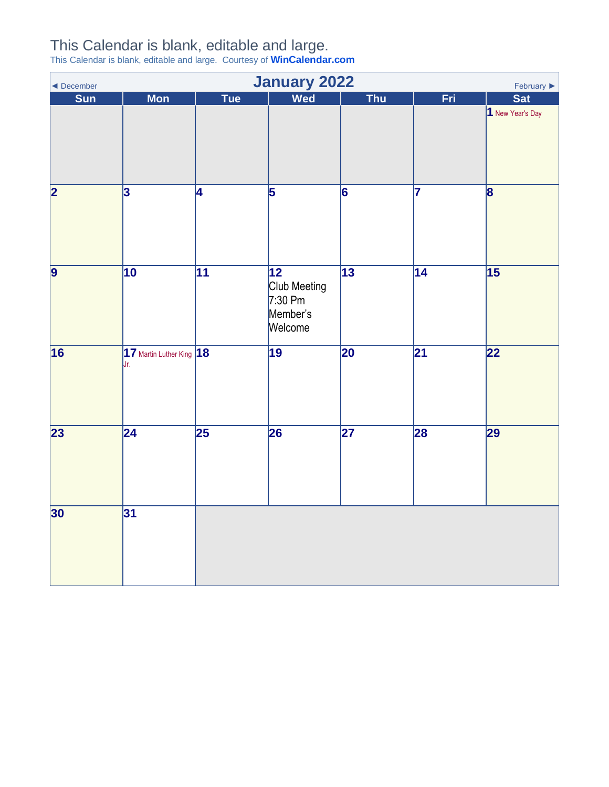## This Calendar is blank, editable and large.

This Calendar is blank, editable and large. Courtesy of **[WinCalendar.com](https://www.wincalendar.com/Calendar-and-Schedule-Templates)**

<span id="page-0-0"></span>

| <b>January 2022</b><br>February $\blacktriangleright$<br>◀ December |                                  |                 |                                                                     |                 |                 |                         |  |  |
|---------------------------------------------------------------------|----------------------------------|-----------------|---------------------------------------------------------------------|-----------------|-----------------|-------------------------|--|--|
| Sun                                                                 | <b>Mon</b>                       | <b>Tue</b>      | Wed                                                                 | <b>Thu</b>      | Fri             | <b>Sat</b>              |  |  |
|                                                                     |                                  |                 |                                                                     |                 |                 | 1 New Year's Day        |  |  |
| $\overline{\mathbf{2}}$                                             | $\overline{3}$                   | 4               | $\overline{5}$                                                      | $\overline{6}$  | 17              | $\overline{\mathbf{8}}$ |  |  |
| $\overline{9}$                                                      | $\overline{10}$                  | $\overline{11}$ | $\overline{12}$<br>Club Meeting<br>$7:30$ Pm<br>Member's<br>Welcome | $\overline{13}$ | $\overline{14}$ | $\overline{15}$         |  |  |
| $\overline{16}$                                                     | 17 Martin Luther King 18<br>IJr. |                 | $\overline{19}$                                                     | $\overline{20}$ | $\overline{21}$ | 22                      |  |  |
| $\overline{23}$                                                     | $\overline{24}$                  | $\overline{25}$ | 26                                                                  | $\overline{27}$ | 28              | 29                      |  |  |
| 30                                                                  | 31                               |                 |                                                                     |                 |                 |                         |  |  |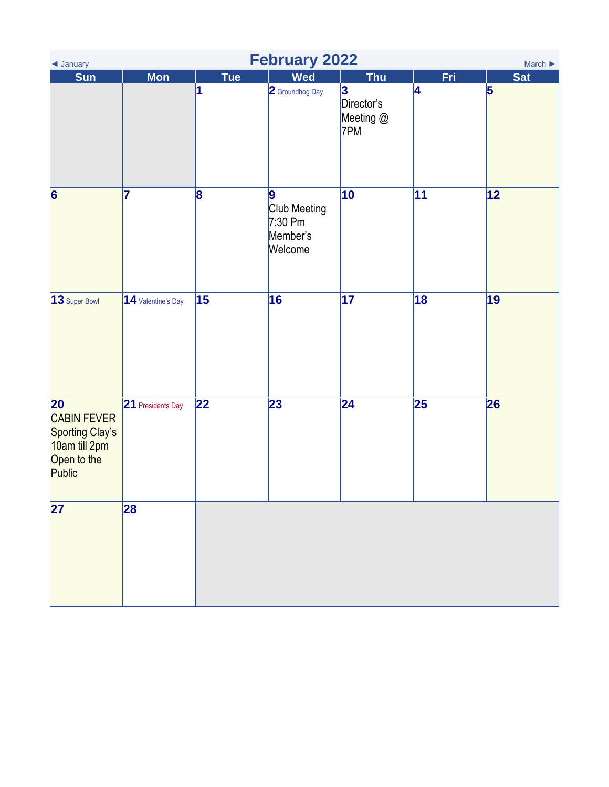<span id="page-1-0"></span>

| ◀ January                                                                                   | <b>February 2022</b><br>March $\blacktriangleright$ |                 |                                                       |                                                   |                 |                         |  |  |  |
|---------------------------------------------------------------------------------------------|-----------------------------------------------------|-----------------|-------------------------------------------------------|---------------------------------------------------|-----------------|-------------------------|--|--|--|
| Sun                                                                                         | <b>Mon</b>                                          | Tue<br>1        | <b>Wed</b><br>2 Groundhog Day                         | <b>Thu</b><br>3<br>Director's<br>Meeting @<br>7PM | Fri<br>4        | <b>Sat</b><br>$\vert$ 5 |  |  |  |
| $\vert 6 \vert$                                                                             | 17                                                  | 8               | 9<br>Club Meeting<br>$7:30$ Pm<br>Member's<br>Welcome | 10                                                | 11              | 12                      |  |  |  |
| 13 Super Bowl                                                                               | 14 Valentine's Day                                  | 15              | 16                                                    | $\overline{17}$                                   | $\overline{18}$ | 19                      |  |  |  |
| $\overline{20}$<br>CABIN FEVER<br>Sporting Clay's<br>10am till 2pm<br>Open to the<br>Public | 21 Presidents Day                                   | $\overline{22}$ | 23                                                    | $\overline{24}$                                   | $\overline{25}$ | 26                      |  |  |  |
| $\overline{27}$                                                                             | 28                                                  |                 |                                                       |                                                   |                 |                         |  |  |  |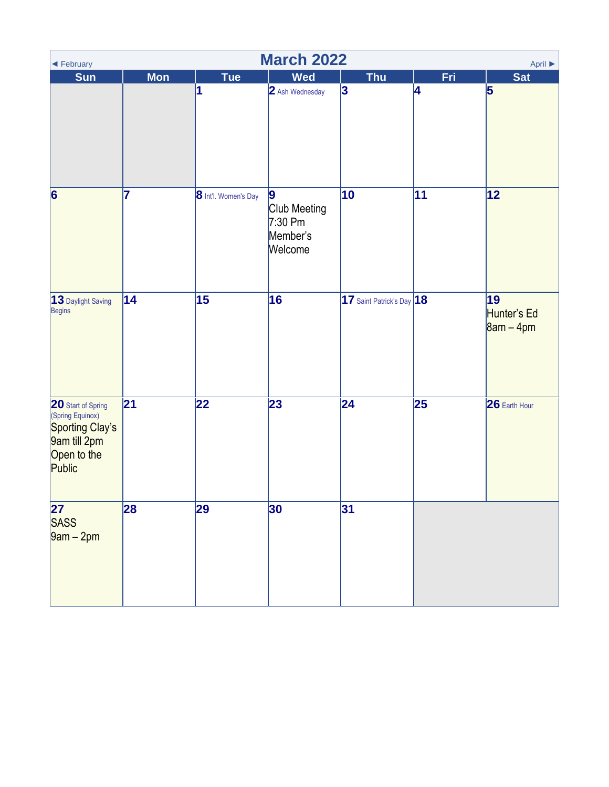<span id="page-2-0"></span>

| <b>March 2022</b><br>April ▶<br>◀ February                                                         |                 |                      |                                                               |                           |            |                                  |  |  |
|----------------------------------------------------------------------------------------------------|-----------------|----------------------|---------------------------------------------------------------|---------------------------|------------|----------------------------------|--|--|
| <b>Sun</b>                                                                                         | <b>Mon</b>      | Tue                  | <b>Wed</b>                                                    | <b>Thu</b>                | <b>Fri</b> | <b>Sat</b>                       |  |  |
|                                                                                                    |                 | 1                    | 2 Ash Wednesday                                               | 3                         | 4          | 5                                |  |  |
| 6                                                                                                  | 17              | 8 Int'l. Women's Day | $\vert$ 9<br>Club Meeting<br>$7:30$ Pm<br>Member's<br>Welcome | 10                        | 11         | 12                               |  |  |
| 13 Daylight Saving<br>Begins                                                                       | $\overline{14}$ | $\overline{15}$      | 16                                                            | 17 Saint Patrick's Day 18 |            | 19<br>Hunter's Ed<br>$8am - 4pm$ |  |  |
| 20 Start of Spring<br>(Spring Equinox)<br>Sporting Clay's<br>9am till 2pm<br>Open to the<br>Public | $\overline{21}$ | 22                   | 23                                                            | 24                        | 25         | 26 Earth Hour                    |  |  |
| $\overline{27}$<br>SASS<br>9am – 2pm                                                               | 28              | 29                   | 30                                                            | 31                        |            |                                  |  |  |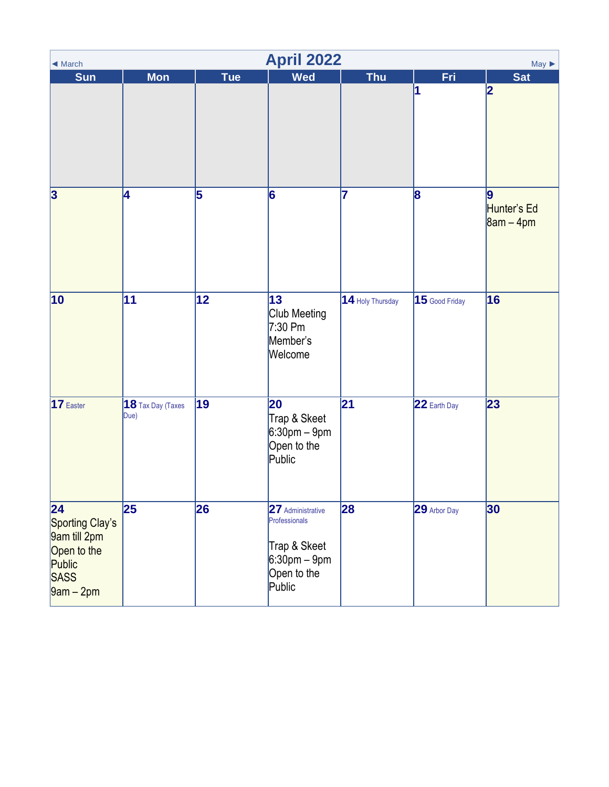<span id="page-3-0"></span>

| <b>April 2022</b><br>$May \triangleright$<br>◀ March                                  |                           |                 |                                                                                                |                  |                  |                                              |  |  |
|---------------------------------------------------------------------------------------|---------------------------|-----------------|------------------------------------------------------------------------------------------------|------------------|------------------|----------------------------------------------|--|--|
| <b>Sun</b>                                                                            | <b>Mon</b>                | <b>Tue</b>      | <b>Wed</b>                                                                                     | <b>Thu</b>       | Fri<br>1         | <b>Sat</b><br> 2                             |  |  |
| $\vert$ 3                                                                             | 4                         | 5               | 6                                                                                              | 7                | 8                | $\overline{9}$<br>Hunter's Ed<br>$8am - 4pm$ |  |  |
| 10                                                                                    | $\overline{11}$           | $\overline{12}$ | 13<br>Club Meeting<br>$7:30$ Pm<br>Member's<br>Welcome                                         | 14 Holy Thursday | $15$ Good Friday | 16                                           |  |  |
| 17 Easter                                                                             | 18 Tax Day (Taxes<br>Due) | 19              | 20<br>Trap & Skeet<br>$6:30$ pm – 9pm<br>Open to the<br>Public                                 | 21               | 22 Earth Day     | 23                                           |  |  |
| 24<br>Sporting Clay's<br>9am till 2pm<br>Open to the<br>Public<br>SASS<br>$9am - 2pm$ | 25                        | 26              | 27 Administrative<br>Professionals<br>Trap & Skeet<br>$6:30$ pm – 9pm<br>Open to the<br>Public | 28               | 29 Arbor Day     | 30                                           |  |  |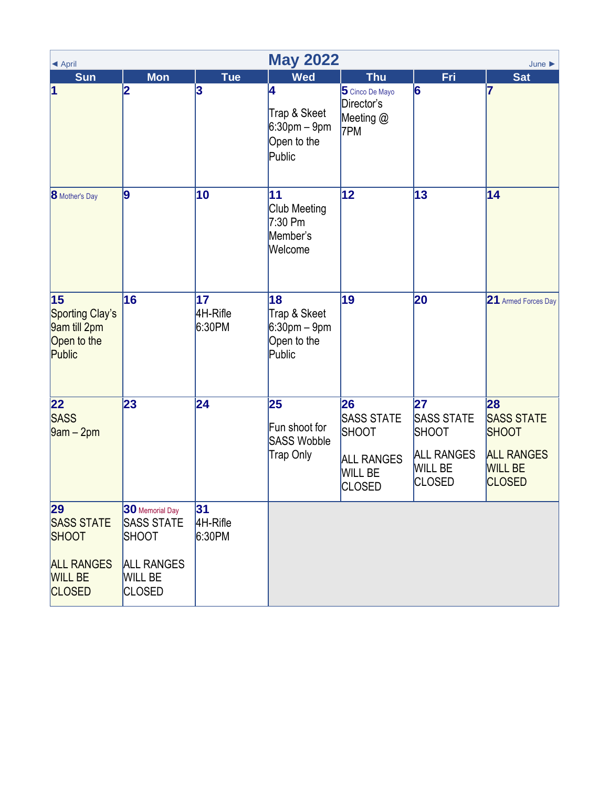<span id="page-4-0"></span>

| ◀ April                                                                                         | <b>May 2022</b><br>June $\blacktriangleright$                                                                |                          |                                                                |                                                                                                 |                                                                                          |                                                                                                 |  |  |  |
|-------------------------------------------------------------------------------------------------|--------------------------------------------------------------------------------------------------------------|--------------------------|----------------------------------------------------------------|-------------------------------------------------------------------------------------------------|------------------------------------------------------------------------------------------|-------------------------------------------------------------------------------------------------|--|--|--|
| Sun                                                                                             | <b>Mon</b>                                                                                                   | <b>Tue</b>               | <b>Wed</b>                                                     | <b>Thu</b>                                                                                      | Fri                                                                                      | <b>Sat</b>                                                                                      |  |  |  |
| $\vert$ 1                                                                                       | 2                                                                                                            | 3                        | 4<br>Trap & Skeet<br>$6:30$ pm – 9pm<br>Open to the<br>Public  | 5 Cinco De Mayo<br>Director's<br>Meeting @<br>7PM                                               | 6                                                                                        | 7                                                                                               |  |  |  |
| <b>8</b> Mother's Day                                                                           | 9                                                                                                            | 10                       | 11<br>Club Meeting<br>$7:30$ Pm<br>Member's<br>Welcome         | $ 12\rangle$                                                                                    | 13                                                                                       | 14                                                                                              |  |  |  |
| 15<br>Sporting Clay's<br>9am till 2pm<br>Open to the<br>Public                                  | 16                                                                                                           | 17<br>4H-Rifle<br>6:30PM | 18<br>Trap & Skeet<br>$6:30$ pm – 9pm<br>Open to the<br>Public | 19                                                                                              | 20                                                                                       | 21 Armed Forces Day                                                                             |  |  |  |
| $ 22\rangle$<br><b>SASS</b><br>$[9am - 2pm]$                                                    | 23                                                                                                           | 24                       | 25<br>Fun shoot for<br><b>SASS Wobble</b><br>Trap Only         | 26<br><b>SASS STATE</b><br><b>SHOOT</b><br><b>ALL RANGES</b><br><b>WILL BE</b><br><b>CLOSED</b> | 27<br><b>SASS STATE</b><br>SHOOT<br><b>ALL RANGES</b><br><b>WILL BE</b><br><b>CLOSED</b> | 28<br><b>SASS STATE</b><br><b>SHOOT</b><br><b>ALL RANGES</b><br><b>WILL BE</b><br><b>CLOSED</b> |  |  |  |
| 29<br><b>SASS STATE</b><br><b>SHOOT</b><br><b>ALL RANGES</b><br><b>WILL BE</b><br><b>CLOSED</b> | 30 Memorial Day<br><b>SASS STATE</b><br><b>SHOOT</b><br><b>ALL RANGES</b><br><b>WILL BE</b><br><b>CLOSED</b> | 31<br>4H-Rifle<br>6:30PM |                                                                |                                                                                                 |                                                                                          |                                                                                                 |  |  |  |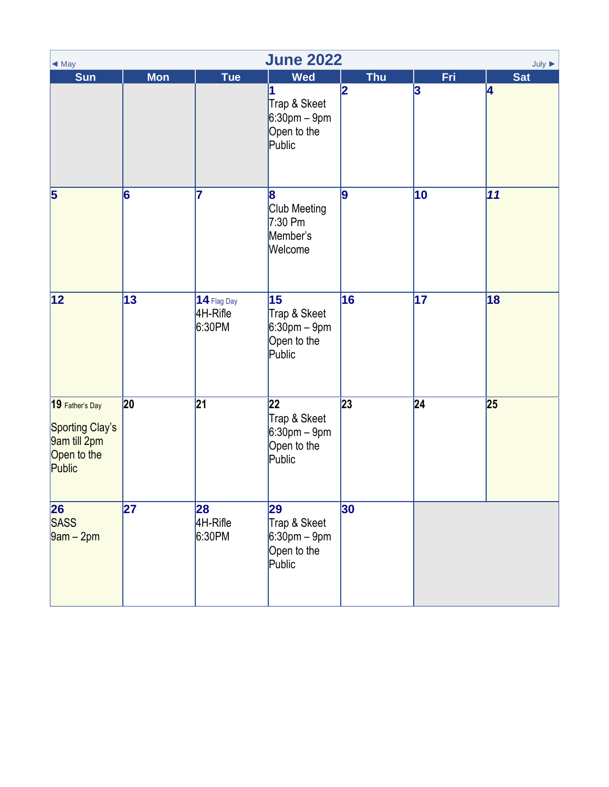<span id="page-5-0"></span>

| <b>June 2022</b><br>July $\blacktriangleright$<br>$\triangleleft$ May       |            |                                     |                                                                                            |                 |                 |                 |  |  |  |
|-----------------------------------------------------------------------------|------------|-------------------------------------|--------------------------------------------------------------------------------------------|-----------------|-----------------|-----------------|--|--|--|
| <b>Sun</b>                                                                  | <b>Mon</b> | <b>Tue</b>                          | <b>Wed</b><br>1<br>Trap & Skeet<br>$6:30 \text{pm} - 9 \text{pm}$<br>Open to the<br>Public | <b>Thu</b><br>2 | Fri<br>3        | <b>Sat</b><br>4 |  |  |  |
| 5                                                                           | 6          | 7                                   | 8<br>Club Meeting<br>$7:30$ Pm<br>Member's<br>Welcome                                      | 9               | 10              | 11              |  |  |  |
| 12                                                                          | 13         | $14$ Flag Day<br>4H-Rifle<br>6:30PM | 15<br>Trap & Skeet<br>$6:30$ pm – 9pm<br>Open to the<br>Public                             | 16              | $\overline{17}$ | 18              |  |  |  |
| 19 Father's Day<br>Sporting Clay's<br>9am till 2pm<br>Open to the<br>Public | 20         | 21                                  | 22<br>Trap & Skeet<br>$6:30$ pm – 9pm<br>Open to the<br>Public                             | 23              | 24              | 25              |  |  |  |
| 26<br>SASS<br>$\sqrt{9}$ am – 2pm                                           | 27         | 28<br>4H-Rifle<br>6:30PM            | 29<br>Trap & Skeet<br>$6:30pm - 9pm$<br>Open to the<br>Public                              | 30              |                 |                 |  |  |  |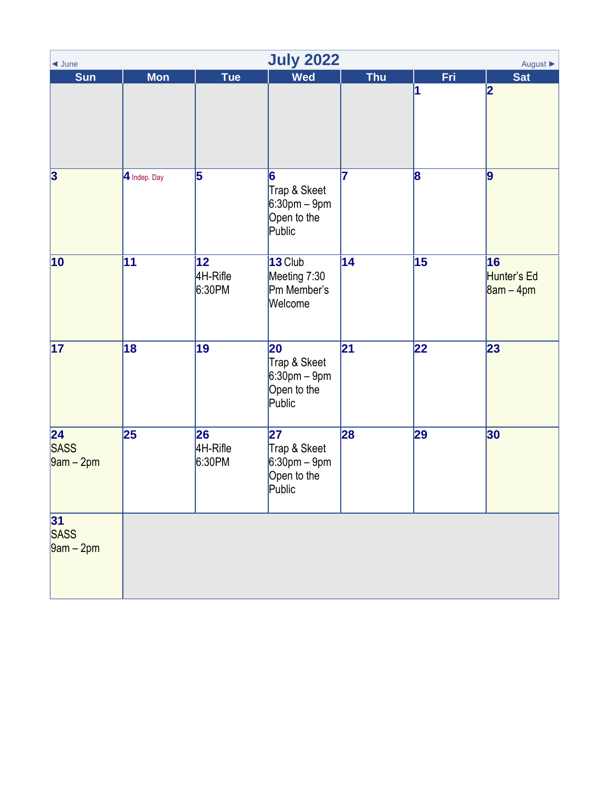<span id="page-6-0"></span>

| <b>July 2022</b><br>August $\blacktriangleright$<br>$\triangleleft$ June |              |                           |                                                                |            |                 |                                  |  |  |  |
|--------------------------------------------------------------------------|--------------|---------------------------|----------------------------------------------------------------|------------|-----------------|----------------------------------|--|--|--|
| <b>Sun</b>                                                               | <b>Mon</b>   | <b>Tue</b>                | <b>Wed</b>                                                     | <b>Thu</b> | Fri             | <b>Sat</b>                       |  |  |  |
|                                                                          |              |                           |                                                                |            | 1               | 2                                |  |  |  |
| 3                                                                        | 4 Indep. Day | 5                         | 6<br>Trap & Skeet<br>$6:30pm - 9pm$<br>Open to the<br>Public   | 7          | 8               | 9                                |  |  |  |
| $ 10\rangle$                                                             | 11           | 12 <br>4H-Rifle<br>6:30PM | $13$ Club<br>Meeting 7:30<br>Pm Member's<br>Welcome            | 14         | 15              | 16<br>Hunter's Ed<br>$8am - 4pm$ |  |  |  |
| $\overline{17}$                                                          | 18           | 19                        | 20<br>Trap & Skeet<br>$6:30pm - 9pm$<br>Open to the<br>Public  | 21         | $\overline{22}$ | 23                               |  |  |  |
| 24<br><b>SASS</b><br>$\sqrt{9am-2pm}$                                    | 25           | 26<br>4H-Rifle<br>6:30PM  | 27<br>Trap & Skeet<br>$6:30$ pm – 9pm<br>Open to the<br>Public | 28         | 29              | 30                               |  |  |  |
| 31<br>SASS<br>$9am - 2pm$                                                |              |                           |                                                                |            |                 |                                  |  |  |  |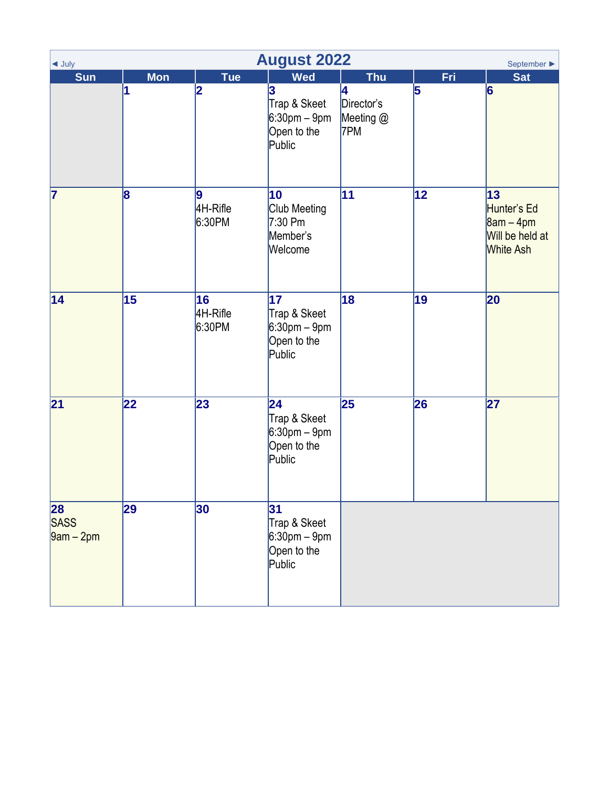<span id="page-7-0"></span>

| <b>August 2022</b><br>$\triangleleft$ July<br>September ▶ |                 |                          |                                                                                |                                                   |          |                                                                         |  |  |  |
|-----------------------------------------------------------|-----------------|--------------------------|--------------------------------------------------------------------------------|---------------------------------------------------|----------|-------------------------------------------------------------------------|--|--|--|
| <b>Sun</b>                                                | <b>Mon</b><br>1 | Tue<br>2                 | <b>Wed</b><br>3<br>Trap & Skeet<br>$6:30$ pm – $9$ pm<br>Open to the<br>Public | <b>Thu</b><br>4<br>Director's<br>Meeting @<br>7PM | Fri<br>5 | <b>Sat</b><br>$\vert 6 \vert$                                           |  |  |  |
| 7                                                         | 8               | 9<br>4H-Rifle<br>6:30PM  | 10<br>Club Meeting<br>$7:30$ Pm<br>Member's<br>Welcome                         | 11                                                | 12       | 13<br>Hunter's Ed<br>$8am - 4pm$<br>Will be held at<br><b>White Ash</b> |  |  |  |
| 14                                                        | 15              | 16<br>4H-Rifle<br>6:30PM | 17<br>Trap & Skeet<br>$6:30 \text{pm} - 9 \text{pm}$<br>Open to the<br>Public  | 18                                                | 19       | 20                                                                      |  |  |  |
| 21                                                        | 22              | 23                       | 24<br>Trap & Skeet<br>$6:30$ pm – 9pm<br>Open to the<br>Public                 | 25                                                | 26       | 27                                                                      |  |  |  |
| 28<br>SASS<br>$9am - 2pm$                                 | 29              | 30                       | 31<br>Trap & Skeet<br>$6:30$ pm – $9$ pm<br>Open to the<br>Public              |                                                   |          |                                                                         |  |  |  |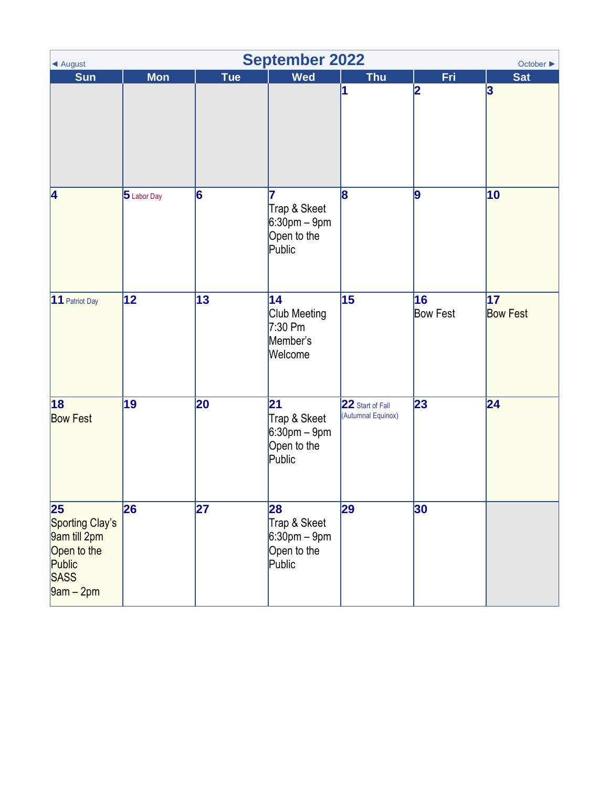<span id="page-8-0"></span>

| <b>September 2022</b><br>◀ August<br>October $\blacktriangleright$                    |                 |                 |                                                                |                                        |                       |                       |  |  |  |
|---------------------------------------------------------------------------------------|-----------------|-----------------|----------------------------------------------------------------|----------------------------------------|-----------------------|-----------------------|--|--|--|
| <b>Sun</b>                                                                            | <b>Mon</b>      | <b>Tue</b>      | <b>Wed</b>                                                     | <b>Thu</b>                             | Fri                   | <b>Sat</b>            |  |  |  |
|                                                                                       |                 |                 |                                                                | 1                                      | 2                     | 3                     |  |  |  |
| 4                                                                                     | 5 Labor Day     | 6               | 7<br>Trap & Skeet<br>$6:30$ pm – 9pm<br>Open to the<br>Public  | 8                                      | 9                     | 10                    |  |  |  |
| 11 Patriot Day                                                                        | $\overline{12}$ | $\overline{13}$ | 14<br>Club Meeting<br>$7:30$ Pm<br>Member's<br>Welcome         | 15                                     | 16<br><b>Bow Fest</b> | 17<br><b>Bow Fest</b> |  |  |  |
| 18 <br><b>Bow Fest</b>                                                                | 19              | 20              | 21<br>Trap & Skeet<br>$6:30$ pm – 9pm<br>Open to the<br>Public | 22 Start of Fall<br>(Autumnal Equinox) | 23                    | 24                    |  |  |  |
| 25<br>Sporting Clay's<br>9am till 2pm<br>Open to the<br>Public<br>SASS<br>$9am - 2pm$ | 26              | 27              | 28<br>Trap & Skeet<br>$6:30pm - 9pm$<br>Open to the<br>Public  | 29                                     | 30                    |                       |  |  |  |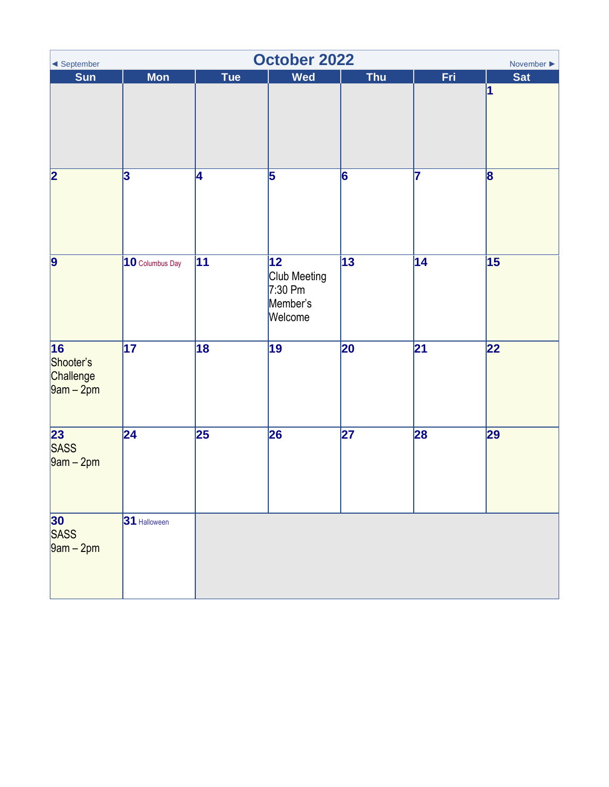<span id="page-9-0"></span>

| October 2022<br>November $\blacktriangleright$<br>◀ September       |                         |                 |                                                         |                 |                 |                         |  |  |
|---------------------------------------------------------------------|-------------------------|-----------------|---------------------------------------------------------|-----------------|-----------------|-------------------------|--|--|
| <b>Sun</b>                                                          | <b>Mon</b>              | Tue             | <b>Wed</b>                                              | <b>Thu</b>      | Fri             | <b>Sat</b><br>1         |  |  |
| $\overline{\mathbf{2}}$                                             | $\overline{\mathbf{3}}$ | 4               | 5                                                       | 6               | 17              | $\overline{\mathbf{8}}$ |  |  |
| $\vert$ 9                                                           | 10 Columbus Day         | 11              | 12 <br>Club Meeting<br>$7:30$ Pm<br>Member's<br>Welcome | $\overline{13}$ | $\overline{14}$ | 15                      |  |  |
| $\overline{\overline{16}}$<br>Shooter's<br>Challenge<br>$9am - 2pm$ | $\overline{17}$         | $\overline{18}$ | $\overline{19}$                                         | $\overline{20}$ | $\overline{21}$ | $\overline{22}$         |  |  |
| 23<br><b>SASS</b><br>$9am - 2pm$                                    | $\overline{24}$         | 25              | 26                                                      | 27              | 28              | 29                      |  |  |
| 30<br>SASS<br>$9am - 2pm$                                           | 31 Halloween            |                 |                                                         |                 |                 |                         |  |  |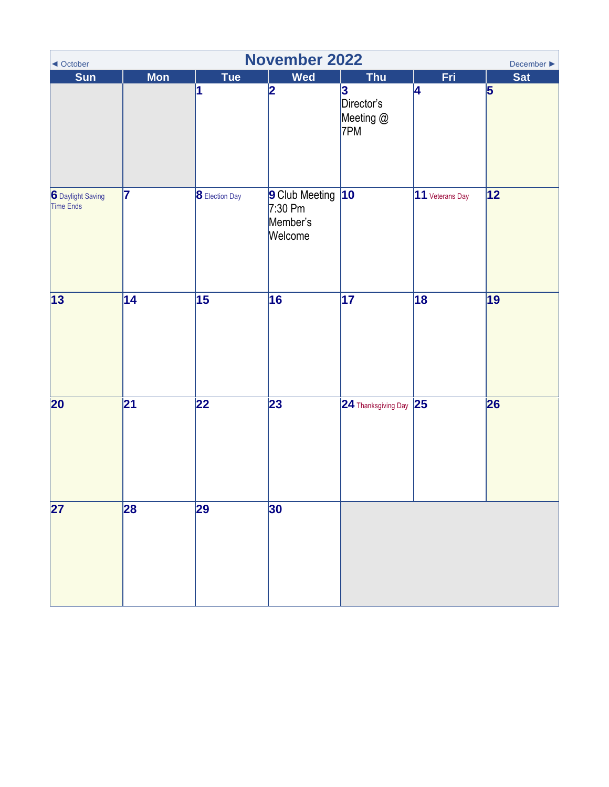<span id="page-10-0"></span>

| <b>November 2022</b><br>December $\blacktriangleright$<br>◀ October |                 |                 |                                                    |                                     |                 |                 |  |  |  |
|---------------------------------------------------------------------|-----------------|-----------------|----------------------------------------------------|-------------------------------------|-----------------|-----------------|--|--|--|
| Sun                                                                 | <b>Mon</b>      | Tue             | <b>Wed</b>                                         | <b>Thu</b>                          | Fri             | <b>Sat</b>      |  |  |  |
|                                                                     |                 | 1               | $\overline{\mathbf{2}}$                            | 3<br>Director's<br>Meeting @<br>7PM | 4               | $\vert$ 5       |  |  |  |
| 6 Daylight Saving<br>Time Ends                                      | 17              | 8 Election Day  | 9 Club Meeting<br>$7:30$ Pm<br>Member's<br>Welcome | $ 10\rangle$                        | 11 Veterans Day | 12              |  |  |  |
| 13                                                                  | $\overline{14}$ | $\overline{15}$ | 16                                                 | $\overline{17}$                     | $\overline{18}$ | $\overline{19}$ |  |  |  |
| $\overline{20}$                                                     | 21              | $\overline{22}$ | 23                                                 | $24$ Thanksgiving Day $ 25 $        |                 | 26              |  |  |  |
| $\overline{27}$                                                     | 28              | 29              | 30                                                 |                                     |                 |                 |  |  |  |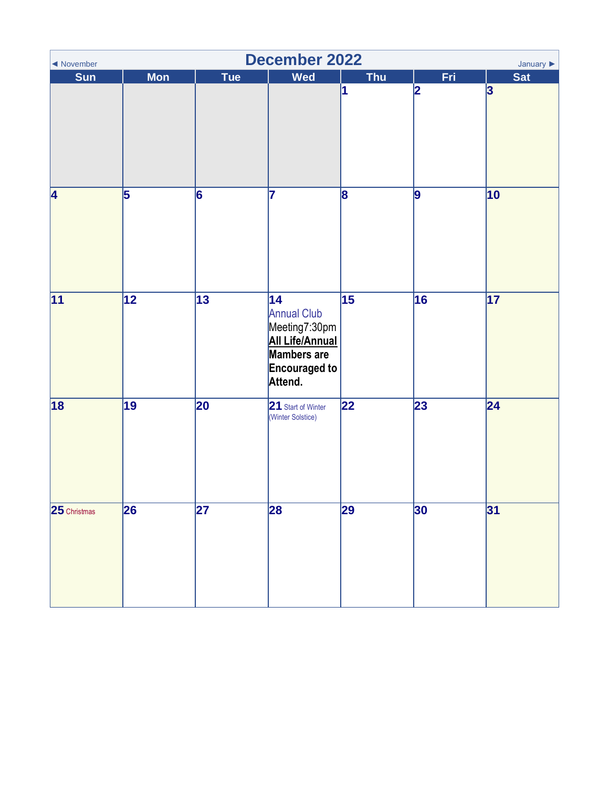<span id="page-11-0"></span>

| <b>December 2022</b><br>January $\blacktriangleright$<br>◀ November |                 |                 |                                                                                                                                    |                 |      |                 |  |  |
|---------------------------------------------------------------------|-----------------|-----------------|------------------------------------------------------------------------------------------------------------------------------------|-----------------|------|-----------------|--|--|
| <b>Sun</b>                                                          | <b>Mon</b>      | Tue             | Wed                                                                                                                                | <b>Thu</b>      | Fri. | <b>Sat</b>      |  |  |
|                                                                     |                 |                 |                                                                                                                                    | 1               | 2    | 3               |  |  |
| 4                                                                   | 5               | 6               | 7                                                                                                                                  | 8               | 9    | 10              |  |  |
| $\overline{11}$                                                     | $\overline{12}$ | $\overline{13}$ | $\overline{14}$<br><b>Annual Club</b><br>Meeting7:30pm<br><b>All Life/Annual</b><br>Mambers are<br><b>Encouraged to</b><br>Attend. | $\overline{15}$ | 16   | $\overline{17}$ |  |  |
| 18                                                                  | $\overline{19}$ | $\overline{20}$ | 21 Start of Winter<br>(Winter Solstice)                                                                                            | $\overline{22}$ | 23   | $\overline{24}$ |  |  |
| 25 Christmas                                                        | 26              | 27              | 28                                                                                                                                 | 29              | 30   | 31              |  |  |